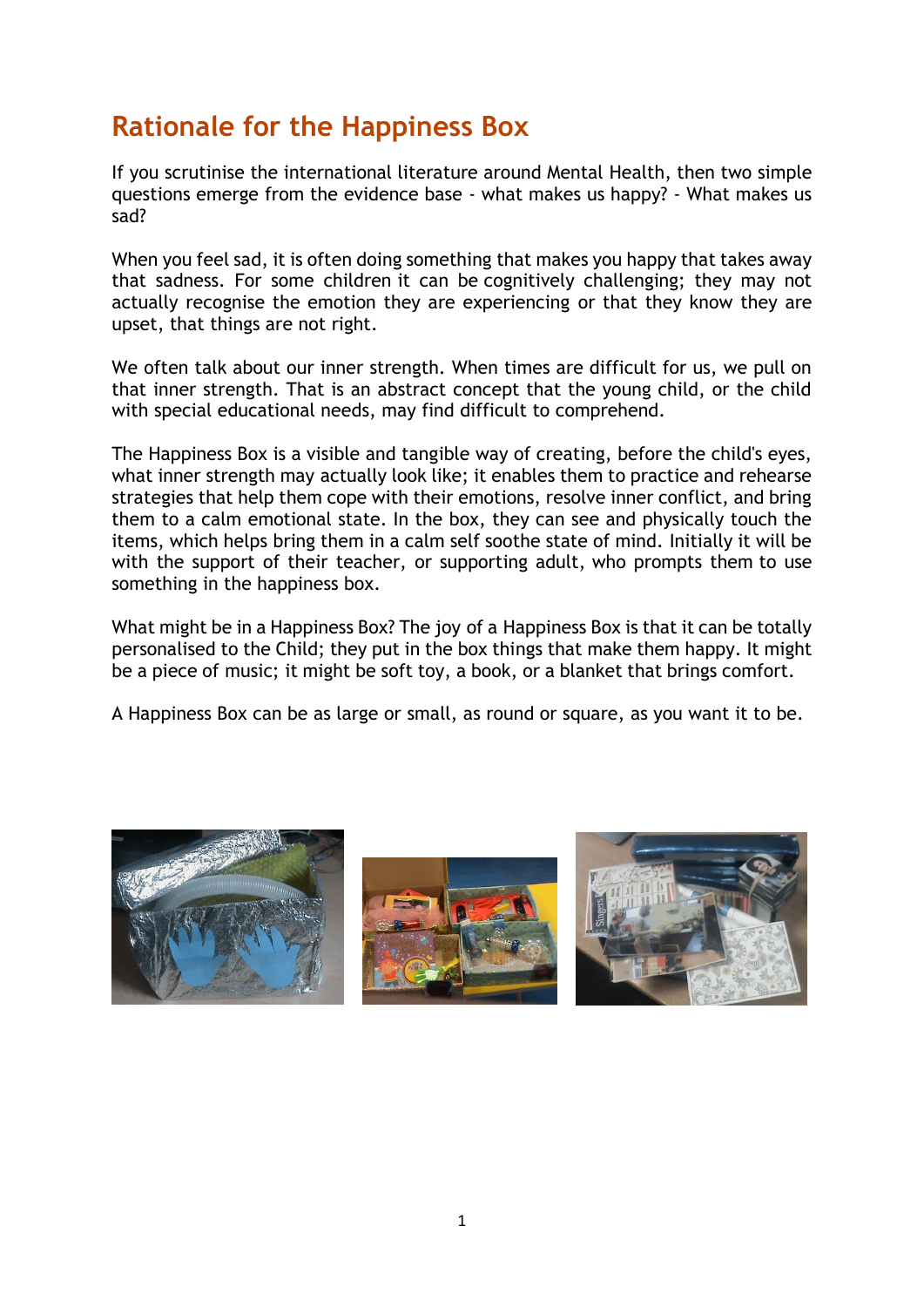## **Rationale for the Happiness Box**

If you scrutinise the international literature around Mental Health, then two simple questions emerge from the evidence base - what makes us happy? - What makes us sad?

When you feel sad, it is often doing something that makes you happy that takes away that sadness. For some children it can be cognitively challenging; they may not actually recognise the emotion they are experiencing or that they know they are upset, that things are not right.

We often talk about our inner strength. When times are difficult for us, we pull on that inner strength. That is an abstract concept that the young child, or the child with special educational needs, may find difficult to comprehend.

The Happiness Box is a visible and tangible way of creating, before the child's eyes, what inner strength may actually look like; it enables them to practice and rehearse strategies that help them cope with their emotions, resolve inner conflict, and bring them to a calm emotional state. In the box, they can see and physically touch the items, which helps bring them in a calm self soothe state of mind. Initially it will be with the support of their teacher, or supporting adult, who prompts them to use something in the happiness box.

What might be in a Happiness Box? The joy of a Happiness Box is that it can be totally personalised to the Child; they put in the box things that make them happy. It might be a piece of music; it might be soft toy, a book, or a blanket that brings comfort.

A Happiness Box can be as large or small, as round or square, as you want it to be.

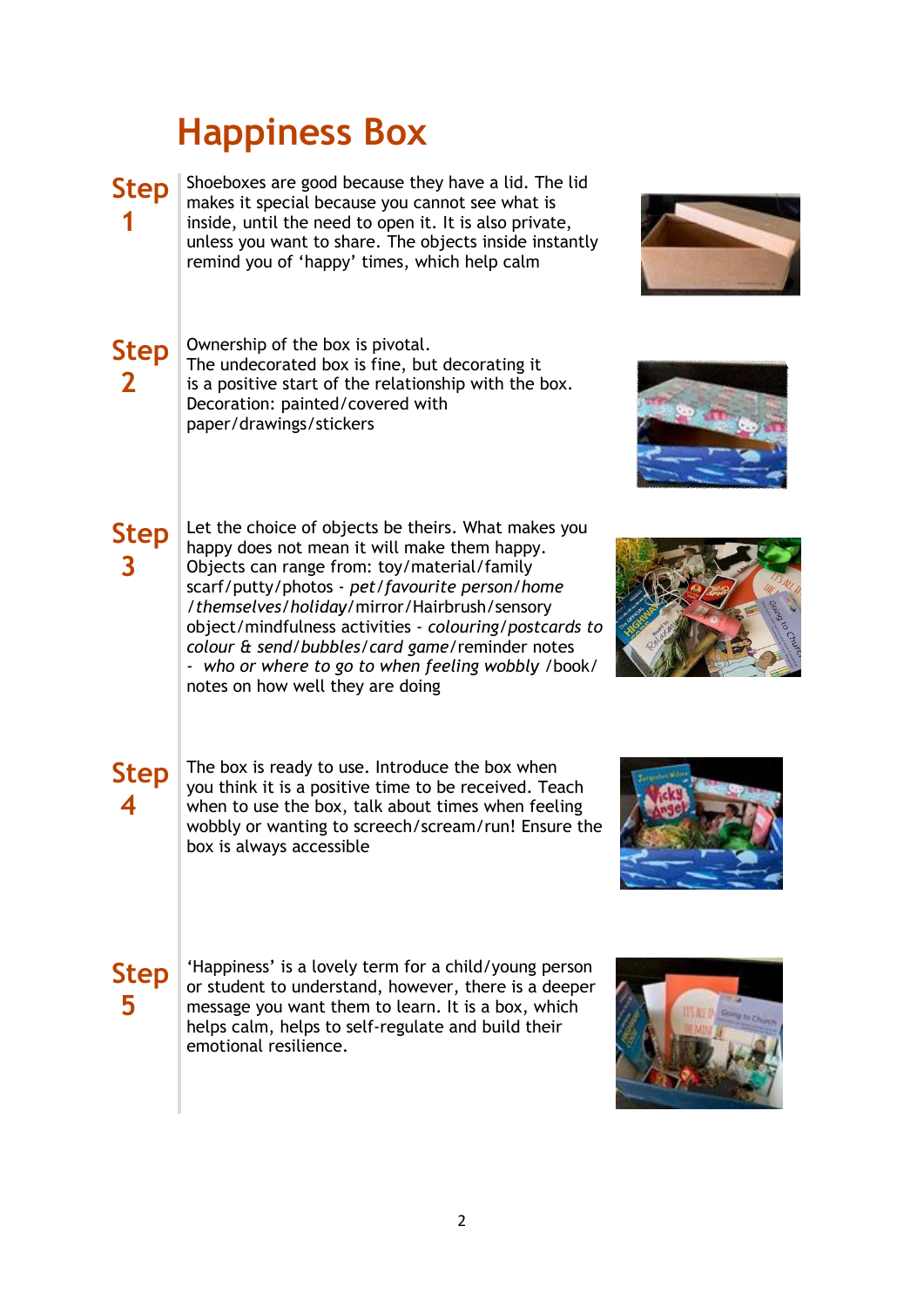# **Happiness Box**

**Step** Shoeboxes are good because they have a lid. The lid makes it special because you cannot see what is inside, until the need to open it. It is also private, unless you want to share. The objects inside instantly remind you of 'happy' times, which help calm



#### **Step 2**

**Step**

**3**

**1**

Ownership of the box is pivotal. The undecorated box is fine, but decorating it is a positive start of the relationship with the box. Decoration: painted/covered with paper/drawings/stickers

Let the choice of objects be theirs. What makes you happy does not mean it will make them happy. Objects can range from: toy/material/family scarf/putty/photos - *pet/favourite person/home /themselves/holiday*/mirror/Hairbrush/sensory object/mindfulness activities - *colouring/postcards to colour & send/bubbles/card game*/reminder notes - *who or where to go to when feeling wobbly* /book/ notes on how well they are doing



#### **Step 4**

The box is ready to use. Introduce the box when you think it is a positive time to be received. Teach when to use the box, talk about times when feeling wobbly or wanting to screech/scream/run! Ensure the box is always accessible



### **Step 5**

'Happiness' is a lovely term for a child/young person or student to understand, however, there is a deeper message you want them to learn. It is a box, which helps calm, helps to self-regulate and build their emotional resilience.